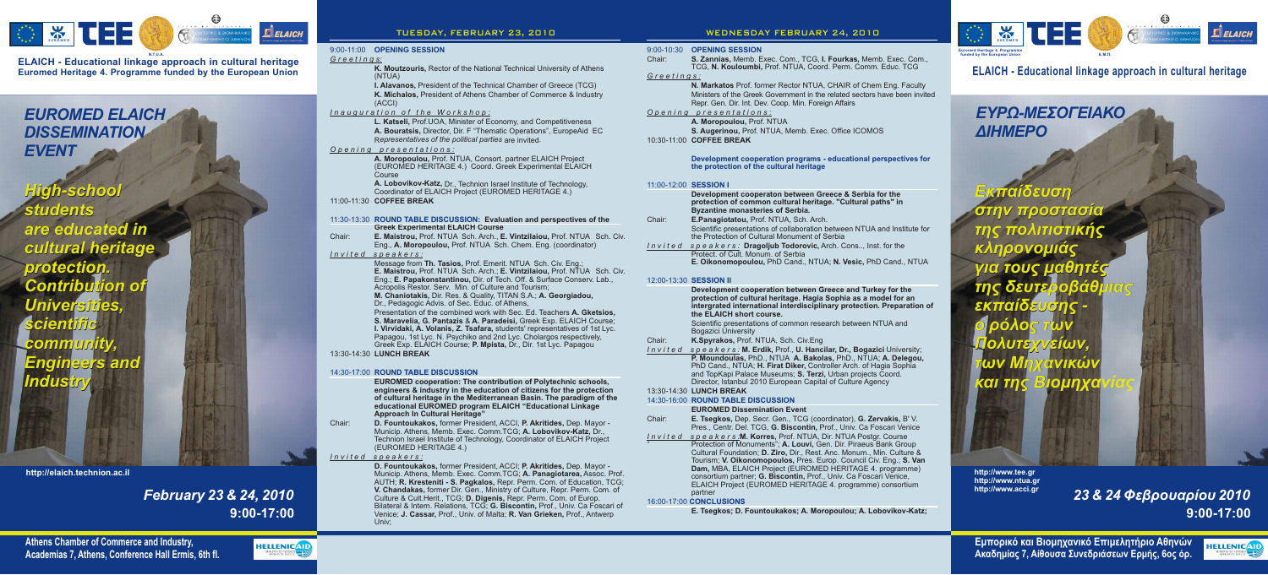

# *EUROMED ELAICH DISSEMINATION EVENT*

**9:00-17:00** 23 & 24 Φεβρουαρίου 2010

**Εμπορικό και Βιομηχανικό Επιμελητήριο Αθηνών Ακαδημίας 7, Αίθουσα Συνεδριάσεων Ερμής, 6ος όρ.** 

# **9:00-17:00** *February 23 & 24, 2010*



**Euromed Heritage 4. Programme funded by the European Union ELAICH - Educational linkage approach in cultural heritage**



**K. Moutzouris,** Rector of the National Technical University of Athens (NTUA)

**I. Alavanos,** President of the Technical Chamber of Greece (TCG) K. Michalos, President of Athens Chamber of Commerce & Industry (ACCI)

**A. Moropoulou,** Prof. NTUA, Consort. partner ELAICH Project (EUROMED HERITAGE 4.) Coord. Greek Experimental ELAICH Course

**A. Lobovikov-Katz,** Dr., Technion Israel Institute of Technology, Coordinator of ELAICH Project (EUROMED HERITAGE 4.)

# 9:00-11:00 **OPENING SESSION**

# 14:30-17:00 **ROUND TABLE DISCUSSION**

Chair: **D. Fountoukakos,** former President, ACCI, **P. Akritides,** Dep. Mayor -Municip. Athens, Memb. Exec. Comm.TCG; **A. Lobovikov-Katz,** Dr., Technion Israel Institute of Technology, Coordinator of ELAICH Project (EUROMED HERITAGE 4.)

Chair: **E. Maistrou, Prof. NTUA Sch. Arch., E. Vintzilaiou, Prof. NTUA Sch. Civ.** Eng., A. Moropoulou, Prof. NTUA Sch. Chem. Eng. (coordinator) *Invited speakers:*

Message from Th. Tasios, Prof. Emerit. NTUA Sch. Civ. Eng.; **E. Maistrou, Prof. NTUA Sch. Arch.; E. Vintzilaiou, Prof. NTUA Sch. Civ.** Eng.; **E. Papakonstantinou,** Dir. of Tech. Off. & Surface Conserv. Lab., Acropolis Restor. Serv. Min. of Culture and Tourism; **M. Chaniotakis, Dir. Res. & Quality, TITAN S.A.; A. Georgiadou,** Dr., Pedagogic Advis. of Sec. Educ. of Athens, Presentation of the combined work with Sec. Ed. Teachers **A. Gketsios,** S. Maravelia, G. Pantazis & A. Paradeisi, Greek Exp. ELAICH Course; **I. Virvidaki, A. Volanis, Z. Tsafara,** students' representatives of 1st Lyc. Papagou, 1st Lyc. N. Psychiko and 2nd Lyc. Cholargos respectively, Greek Exp. ELAICH Course; **P. Mpista,** Dr., Dir. 1st Lyc. Papagou

#### 11:30-13:30 **ROUND TABLE DISCUSSION: Evaluation and perspectives of the Greek Experimental ELAICH Course**

Ministers of the Greek Government in the related sectors have been invited Repr. Gen. Dir. Int. Dev. Coop. Min. Foreign Affairs **N. Markatos** Prof. former Rector NTUA, CHAIR of Chem Eng. Faculty

|         | Development cooperaton between Greece & Serbia for the<br>protection of common cultural heritage. "Cultural paths" in<br><b>Byzantine monasteries of Serbia.</b> |
|---------|------------------------------------------------------------------------------------------------------------------------------------------------------------------|
| Chair:  | E.Panagiotatou, Prof. NTUA, Sch. Arch.                                                                                                                           |
|         | Scientific presentations of collaboration between NTUA and Institute for<br>the Protection of Cultural Monument of Serbia                                        |
| Invited | s $p$ e a $k$ e $rs$ : <b>Dragoljub Todorovic,</b> Arch. Cons, Inst. for the<br>Protect. of Cult. Monum. of Serbia                                               |
|         | E. Oikonomopoulou, PhD Cand., NTUA; N. Vesic, PhD Cand., NTUA                                                                                                    |
|         | 12:00-13:30 SESSION II                                                                                                                                           |

#### $12:00-$ **SESSION II**

|         | Development cooperation between Greece and Turkey for the<br>protection of cultural heritage. Hagia Sophia as a model for an<br>intergrated international interdisciplinary protection. Preparation<br>the ELAICH short course. |
|---------|---------------------------------------------------------------------------------------------------------------------------------------------------------------------------------------------------------------------------------|
|         | Scientific presentations of common research between NTUA and                                                                                                                                                                    |
|         | <b>Bogazici University</b>                                                                                                                                                                                                      |
| Chair:  | K.Spyrakos, Prof. NTUA, Sch. Civ.Eng                                                                                                                                                                                            |
| Invited | speakers: M. Erdik, Prof., U. Hancilar, Dr., Bogazici University;                                                                                                                                                               |
|         | P. Moundoulas, PhD., NTUA A. Bakolas, PhD., NTUA; A. Delegou,<br>PhD Cand., NTUA; H. Firat Diker, Controller Arch. of Hagia Sophia                                                                                              |
|         | and TopKapi Palace Museums; S. Terzi, Urban projects Coord.                                                                                                                                                                     |
|         | Director, Istanbul 2010 European Capital of Culture Agency                                                                                                                                                                      |
|         |                                                                                                                                                                                                                                 |

# 13:30-14:30 LUNCH BREAK

### *G r e e t i n g s:*

 $\mathbf{E}$ *ELAICH* 

# *Inauguration of the Workshop:*

**A. Bouratsis,** Director, Dir. F "Thematic Operations", EuropeAid EC **L. Katseli,** Prof.UOA, Minister of Economy, and Competitiveness

Representatives of the political parties are invited.

- Chair: **E. Tsegkos, Dep. Secr. Gen., TCG (coordinator), G. Zervakis, B' V.** Pres., Centr. Del. TCG, **G. Biscontin,** Prof., Univ. Ca Foscari Venice
- <u>Invited speakers:</u>M. Korres, Prof. NTUA, Dir. NTUA Postgr. Course " Protection of Monuments"; A. Louvi, Gen. Dir. Piraeus Bank Group Cultural Foundation; **D. Ziro,** Dir., Rest. Anc. Monum., Min. Culture & Tourism; V. Oikonomopoulos, Pres. Europ. Council Civ. Eng.; S. Van Dam, MBA, ELAICH Project (EUROMED HERITAGE 4. programme) consortium partner; **G. Biscontin,** Prof., Univ. Ca Foscari Venice, ELAICH Project (EUROMED HERITAGE 4. programme) consortium

# *Opening presentations:*

*Invited speakers:*

**D. Fountoukakos,** former President, ACCI; **P. Akritides,** Dep. Mayor -AUTH; R. Kresteniti - S. Pagkalos, Repr. Perm. Com. of Education, TCG; former Dir. Gen., Ministry of Culture, Repr. Perm. Com. of Culture & Cult.Herit., TCG; D. Digenis, Repr. Perm. Com. of Europ. Bilateral & Intern. Relations, TCG; **G. Biscontin,** Prof., Univ. Ca Foscari of Venice; **J. Cassar,** Prof., Univ. of Malta; **R. Van Grieken,** Prof., Antwerp Univ; **V. Chandakas, D. Digenis,** Municip. Athens, Memb. Exec. Comm.TCG; **A. Panagiotarea,** Assoc. Prof.

**Pece and Turkey for the protection of cultural heritage. Hagia Sophia as a model for an interprated in the interpretent interation of** 

**A. Moropoulou,** Prof. NTUA **S. Augerinou, Prof. NTUA, Memb. Exec. Office ICOMOS COFFEE BREAK** 10:30-11:00

#### **EUROMED cooperation: The contribution of Polytechnic schools, engineers & industry in the education of citizens for the protection of cultural heritage in the Mediterranean Basin. The paradigm of the educational EUROMED program ELAICH "Educational Linkage Approach In Cultural Heritage"**

### 11:00-11:30 **COFFEE BREAK**

13:30-14:30 **LUNCH BREAK**

# 9:00-10:30 **OPENING SESSION**

N.T.U.A.<br>**N.A. S. Zannias, Memb. Exec. Com., TCG, I. Fourkas, Memb. Exec. Com., TCG, I. Fourkas, Memb. Exec. Com., where the funded by the European Union the European Union the European Union the European Union the Europea** TCG, N. Kouloumbi, Prof. NTUA, Coord. Perm. Comm. Educ. TCG

#### **Development cooperation programs - educational perspectives for the protection of the cultural heritage**

# 14:30-16:00 **ROUND TABLE DISCUSSION**

# 11:00-12:00 **SESSION É**

## 16:00-17:00 **CONCLUSIONS** partner

# **EUROMED Dissemination Event**

**Å. Tsegkos; D. Fountoukakos; A. Moropoulou; A. Lobovikov-Katz;**

### *Greetings:*

## *Opening presentations:*

*Invited speakers:*

*Invite* 

# **TUESDAY, FEBRUARY 23, 2010 WEDNESDAY FEBRUARY 24, 2010**

**http://www.tee.gr ntua.gr http://www. http://www.acci.gr**

**http://elaich.technion.ac.il**

*High-school High-school students students are educated in are educated in cultural heritage cultural heritage protection. protection. Contribution of Contribution of Universities, Universities, scientific scientific community, community, Ångineers and Engineers and Éndustry Éndustry*



**ELAICH - Educational linkage approach in cultural heritage**

# *EYPQ-MEΣOΓEIAKO AIHMEPO*

*<u>Eκπαίδευση</u> óôçí ðñïóôáóßá στην προστασία*<br>τη*ς πολιτιστικής κληρονομιάς* <mark>⁄≀ια τους μαθητε</mark>ς *της δευτε<mark>ρ</mark>οβάθμιας åêðáßäåõóçò ï ñüëïò ôùí OAUTSYVEIWV*  $\boldsymbol{\omega}$ v Mnyavik $\boldsymbol{\omega}$ <mark>kαι της Βιομηχανίας</mark> για τους μαθητές<br>της δευτε<mark>ρ</mark>οβάθμ<br>εκπαίδ<mark>ευσ</mark>ης *ő* ρόλο<mark>ς των</mark><br>Πολυτεχνείων,<br>των Μηχανικών